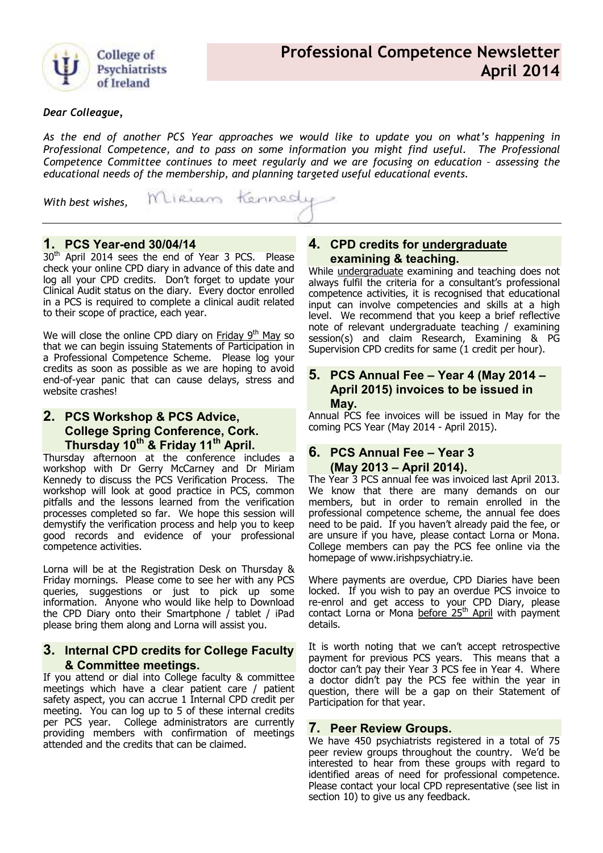

#### *Dear Colleague,*

*As the end of another PCS Year approaches we would like to update you on what's happening in Professional Competence, and to pass on some information you might find useful. The Professional Competence Committee continues to meet regularly and we are focusing on education – assessing the educational needs of the membership, and planning targeted useful educational events.* 

Miriam Kennedy *With best wishes,* 

# **1. PCS Year-end 30/04/14**

30<sup>th</sup> April 2014 sees the end of Year 3 PCS. Please check your online CPD diary in advance of this date and log all your CPD credits. Don't forget to update your Clinical Audit status on the diary. Every doctor enrolled in a PCS is required to complete a clinical audit related to their scope of practice, each year.

We will close the online CPD diary on Friday  $9<sup>th</sup>$  May so that we can begin issuing Statements of Participation in a Professional Competence Scheme. Please log your credits as soon as possible as we are hoping to avoid end-of-year panic that can cause delays, stress and website crashes!

## **2. PCS Workshop & PCS Advice, College Spring Conference, Cork. Thursday 10th & Friday 11th April.**

Thursday afternoon at the conference includes a workshop with Dr Gerry McCarney and Dr Miriam Kennedy to discuss the PCS Verification Process. The workshop will look at good practice in PCS, common pitfalls and the lessons learned from the verification processes completed so far. We hope this session will demystify the verification process and help you to keep good records and evidence of your professional competence activities.

Lorna will be at the Registration Desk on Thursday & Friday mornings. Please come to see her with any PCS queries, suggestions or just to pick up some information. Anyone who would like help to Download the CPD Diary onto their Smartphone / tablet / iPad please bring them along and Lorna will assist you.

### **3. Internal CPD credits for College Faculty & Committee meetings.**

If you attend or dial into College faculty & committee meetings which have a clear patient care / patient safety aspect, you can accrue 1 Internal CPD credit per meeting. You can log up to 5 of these internal credits per PCS year. College administrators are currently providing members with confirmation of meetings attended and the credits that can be claimed.

## **4. CPD credits for undergraduate examining & teaching.**

While undergraduate examining and teaching does not always fulfil the criteria for a consultant's professional competence activities, it is recognised that educational input can involve competencies and skills at a high level. We recommend that you keep a brief reflective note of relevant undergraduate teaching / examining session(s) and claim Research, Examining & PG Supervision CPD credits for same (1 credit per hour).

### **5. PCS Annual Fee – Year 4 (May 2014 – April 2015) invoices to be issued in May.**

Annual PCS fee invoices will be issued in May for the coming PCS Year (May 2014 - April 2015).

### **6. PCS Annual Fee – Year 3 (May 2013 – April 2014).**

The Year 3 PCS annual fee was invoiced last April 2013. We know that there are many demands on our members, but in order to remain enrolled in the professional competence scheme, the annual fee does need to be paid. If you haven't already paid the fee, or are unsure if you have, please contact Lorna or Mona. College members can pay the PCS fee online via the homepage of www.irishpsychiatry.ie.

Where payments are overdue, CPD Diaries have been locked. If you wish to pay an overdue PCS invoice to re-enrol and get access to your CPD Diary, please contact Lorna or Mona before 25<sup>th</sup> April with payment details.

It is worth noting that we can't accept retrospective payment for previous PCS years. This means that a doctor can't pay their Year 3 PCS fee in Year 4. Where a doctor didn't pay the PCS fee within the year in question, there will be a gap on their Statement of Participation for that year.

#### **7. Peer Review Groups.**

We have 450 psychiatrists registered in a total of 75 peer review groups throughout the country. We'd be interested to hear from these groups with regard to identified areas of need for professional competence. Please contact your local CPD representative (see list in section 10) to give us any feedback.